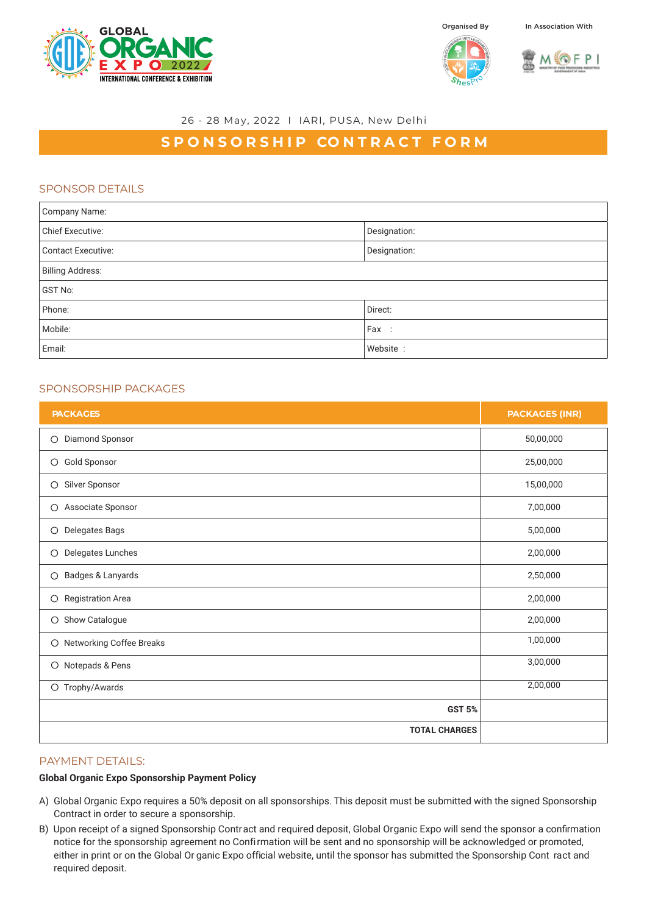







#### 26 - 28 May, 2022 I IARI, PUSA, New Delhi

# **SPONSORSHIP CONTRACT FORM**

## SPONSOR DETAILS

| Company Name:             |              |  |
|---------------------------|--------------|--|
| <b>Chief Executive:</b>   | Designation: |  |
| <b>Contact Executive:</b> | Designation: |  |
| <b>Billing Address:</b>   |              |  |
| <b>GST No:</b>            |              |  |
| Phone:                    | Direct:      |  |
| Mobile:                   | Fax :        |  |
| Email:                    | Website:     |  |

# SPONSORSHIP PACKAGES

| <b>PACKAGES</b>                     | <b>PACKAGES (INR)</b> |
|-------------------------------------|-----------------------|
| Diamond Sponsor<br>$\circ$          | 50,00,000             |
| Gold Sponsor<br>$\circ$             | 25,00,000             |
| Silver Sponsor<br>$\circ$           | 15,00,000             |
| Associate Sponsor<br>$\bigcirc$     | 7,00,000              |
| Delegates Bags<br>$\circ$           | 5,00,000              |
| Delegates Lunches<br>$\circ$        | 2,00,000              |
| Badges & Lanyards<br>$\circ$        | 2,50,000              |
| <b>Registration Area</b><br>$\circ$ | 2,00,000              |
| Show Catalogue<br>$\circ$           | 2,00,000              |
| O Networking Coffee Breaks          | 1,00,000              |
| Notepads & Pens<br>$\circ$          | 3,00,000              |
| O Trophy/Awards                     | 2,00,000              |
| <b>GST 5%</b>                       |                       |
| <b>TOTAL CHARGES</b>                |                       |

## PAYMENT DETAILS:

### **Global Organic Expo Sponsorship Payment Policy**

- A) Global Organic Expo requires a 50% deposit on all sponsorships. This deposit must be submitted with the signed Sponsorship Contract in order to secure a sponsorship.
- B) Upon receipt of a signed Sponsorship Contract and required deposit, Global Organic Expo will send the sponsor a confirmation notice for the sponsorship agreement no Confirmation will be sent and no sponsorship will be acknowledged or promoted, either in print or on the Global Or ganic Expo official website, until the sponsor has submitted the Sponsorship Cont ract and required deposit.